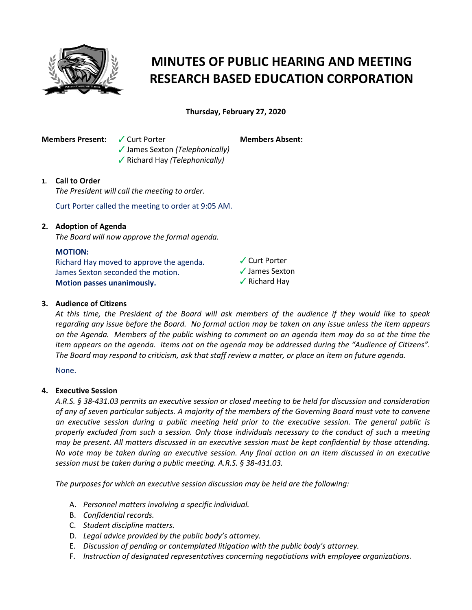

# **MINUTES OF PUBLIC HEARING AND MEETING RESEARCH BASED EDUCATION CORPORATION**

**Thursday, February 27, 2020**

**Members Present:**  $\checkmark$  Curt Porter

**Members Absent:**

b James Sexton *(Telephonically)* **√** Richard Hay *(Telephonically)* 

## **1. Call to Order**

*The President will call the meeting to order.*

Curt Porter called the meeting to order at 9:05 AM.

## **2. Adoption of Agenda**

*The Board will now approve the formal agenda.*

## **MOTION:**

Richard Hay moved to approve the agenda. James Sexton seconded the motion. **Motion passes unanimously.**

- $\sqrt{\frac{1}{1}}$  Curt Porter  $\checkmark$  James Sexton
- $\sqrt{\ }$  Richard Hay

## **3. Audience of Citizens**

*At this time, the President of the Board will ask members of the audience if they would like to speak regarding any issue before the Board. No formal action may be taken on any issue unless the item appears on the Agenda. Members of the public wishing to comment on an agenda item may do so at the time the item appears on the agenda. Items not on the agenda may be addressed during the "Audience of Citizens". The Board may respond to criticism, ask that staff review a matter, or place an item on future agenda.*

None.

## **4. Executive Session**

*A.R.S. § 38-431.03 permits an executive session or closed meeting to be held for discussion and consideration of any of seven particular subjects. A majority of the members of the Governing Board must vote to convene an executive session during a public meeting held prior to the executive session. The general public is properly excluded from such a session. Only those individuals necessary to the conduct of such a meeting may be present. All matters discussed in an executive session must be kept confidential by those attending. No vote may be taken during an executive session. Any final action on an item discussed in an executive session must be taken during a public meeting. A.R.S. § 38-431.03.* 

*The purposes for which an executive session discussion may be held are the following:* 

- A. *Personnel matters involving a specific individual.*
- B. *Confidential records.*
- C. *Student discipline matters.*
- D. *Legal advice provided by the public body's attorney.*
- E. *Discussion of pending or contemplated litigation with the public body's attorney.*
- F. *Instruction of designated representatives concerning negotiations with employee organizations.*